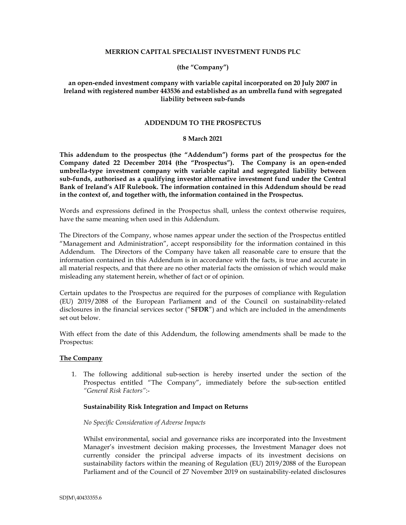## **MERRION CAPITAL SPECIALIST INVESTMENT FUNDS PLC**

## **(the "Company")**

# **an open-ended investment company with variable capital incorporated on 20 July 2007 in Ireland with registered number 443536 and established as an umbrella fund with segregated liability between sub-funds**

### **ADDENDUM TO THE PROSPECTUS**

### **8 March 2021**

**This addendum to the prospectus (the "Addendum") forms part of the prospectus for the Company dated 22 December 2014 (the "Prospectus"). The Company is an open-ended umbrella-type investment company with variable capital and segregated liability between sub-funds, authorised as a qualifying investor alternative investment fund under the Central Bank of Ireland's AIF Rulebook. The information contained in this Addendum should be read in the context of, and together with, the information contained in the Prospectus.** 

Words and expressions defined in the Prospectus shall, unless the context otherwise requires, have the same meaning when used in this Addendum.

The Directors of the Company, whose names appear under the section of the Prospectus entitled "Management and Administration", accept responsibility for the information contained in this Addendum. The Directors of the Company have taken all reasonable care to ensure that the information contained in this Addendum is in accordance with the facts, is true and accurate in all material respects, and that there are no other material facts the omission of which would make misleading any statement herein, whether of fact or of opinion.

Certain updates to the Prospectus are required for the purposes of compliance with Regulation (EU) 2019/2088 of the European Parliament and of the Council on sustainability-related disclosures in the financial services sector ("**SFDR**") and which are included in the amendments set out below.

With effect from the date of this Addendum, the following amendments shall be made to the Prospectus:

#### **The Company**

1. The following additional sub-section is hereby inserted under the section of the Prospectus entitled "The Company", immediately before the sub-section entitled *"General Risk Factors"*:-

## **Sustainability Risk Integration and Impact on Returns**

## *No Specific Consideration of Adverse Impacts*

Whilst environmental, social and governance risks are incorporated into the Investment Manager's investment decision making processes, the Investment Manager does not currently consider the principal adverse impacts of its investment decisions on sustainability factors within the meaning of Regulation (EU) 2019/2088 of the European Parliament and of the Council of 27 November 2019 on sustainability-related disclosures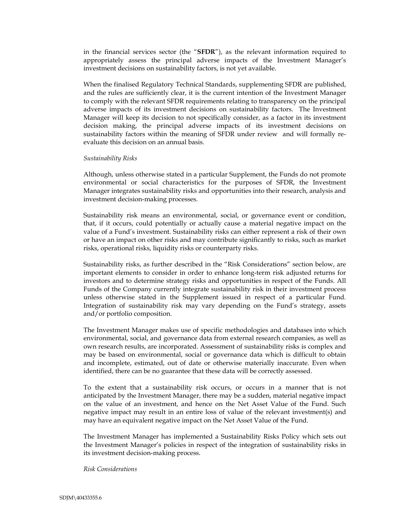in the financial services sector (the "**SFDR**"), as the relevant information required to appropriately assess the principal adverse impacts of the Investment Manager's investment decisions on sustainability factors, is not yet available.

When the finalised Regulatory Technical Standards, supplementing SFDR are published, and the rules are sufficiently clear, it is the current intention of the Investment Manager to comply with the relevant SFDR requirements relating to transparency on the principal adverse impacts of its investment decisions on sustainability factors. The Investment Manager will keep its decision to not specifically consider, as a factor in its investment decision making, the principal adverse impacts of its investment decisions on sustainability factors within the meaning of SFDR under review and will formally reevaluate this decision on an annual basis.

#### *Sustainability Risks*

Although, unless otherwise stated in a particular Supplement, the Funds do not promote environmental or social characteristics for the purposes of SFDR, the Investment Manager integrates sustainability risks and opportunities into their research, analysis and investment decision-making processes.

Sustainability risk means an environmental, social, or governance event or condition, that, if it occurs, could potentially or actually cause a material negative impact on the value of a Fund's investment. Sustainability risks can either represent a risk of their own or have an impact on other risks and may contribute significantly to risks, such as market risks, operational risks, liquidity risks or counterparty risks.

Sustainability risks, as further described in the "Risk Considerations" section below, are important elements to consider in order to enhance long-term risk adjusted returns for investors and to determine strategy risks and opportunities in respect of the Funds. All Funds of the Company currently integrate sustainability risk in their investment process unless otherwise stated in the Supplement issued in respect of a particular Fund. Integration of sustainability risk may vary depending on the Fund's strategy, assets and/or portfolio composition.

The Investment Manager makes use of specific methodologies and databases into which environmental, social, and governance data from external research companies, as well as own research results, are incorporated. Assessment of sustainability risks is complex and may be based on environmental, social or governance data which is difficult to obtain and incomplete, estimated, out of date or otherwise materially inaccurate. Even when identified, there can be no guarantee that these data will be correctly assessed.

To the extent that a sustainability risk occurs, or occurs in a manner that is not anticipated by the Investment Manager, there may be a sudden, material negative impact on the value of an investment, and hence on the Net Asset Value of the Fund. Such negative impact may result in an entire loss of value of the relevant investment(s) and may have an equivalent negative impact on the Net Asset Value of the Fund.

The Investment Manager has implemented a Sustainability Risks Policy which sets out the Investment Manager's policies in respect of the integration of sustainability risks in its investment decision-making process.

*Risk Considerations*